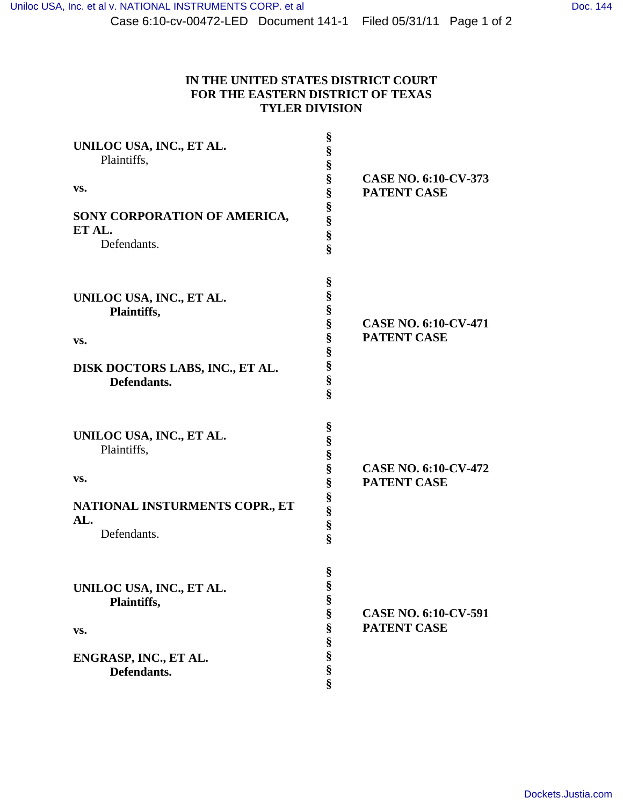| UNILOC USA, INC., ET AL.<br>Plaintiffs,<br>VS.<br>SONY CORPORATION OF AMERICA,<br>ET AL.<br>Defendants. | §<br>§<br>§<br>§<br>§<br>§<br>§<br>§<br>§    | <b>CASE NO. 6:10-CV-373</b><br><b>PATENT CASE</b> |
|---------------------------------------------------------------------------------------------------------|----------------------------------------------|---------------------------------------------------|
| UNILOC USA, INC., ET AL.<br>Plaintiffs,<br>VS.<br>DISK DOCTORS LABS, INC., ET AL.<br>Defendants.        | §<br>§<br>§<br>§<br>§<br>§<br>§<br>§<br>ş    | <b>CASE NO. 6:10-CV-471</b><br><b>PATENT CASE</b> |
| UNILOC USA, INC., ET AL.<br>Plaintiffs,<br>VS.<br>NATIONAL INSTURMENTS COPR., ET<br>AL.<br>Defendants.  | §<br>§<br>§<br>§<br>$\S$<br>§<br>Se se se    | <b>CASE NO. 6:10-CV-472</b><br><b>PATENT CASE</b> |
| UNILOC USA, INC., ET AL.<br>Plaintiffs,<br>VS.<br>ENGRASP, INC., ET AL.<br>Defendants.                  | §<br>§<br>§<br>§<br>$\S$<br>S<br>S<br>S<br>S | <b>CASE NO. 6:10-CV-591</b><br>PATENT CASE        |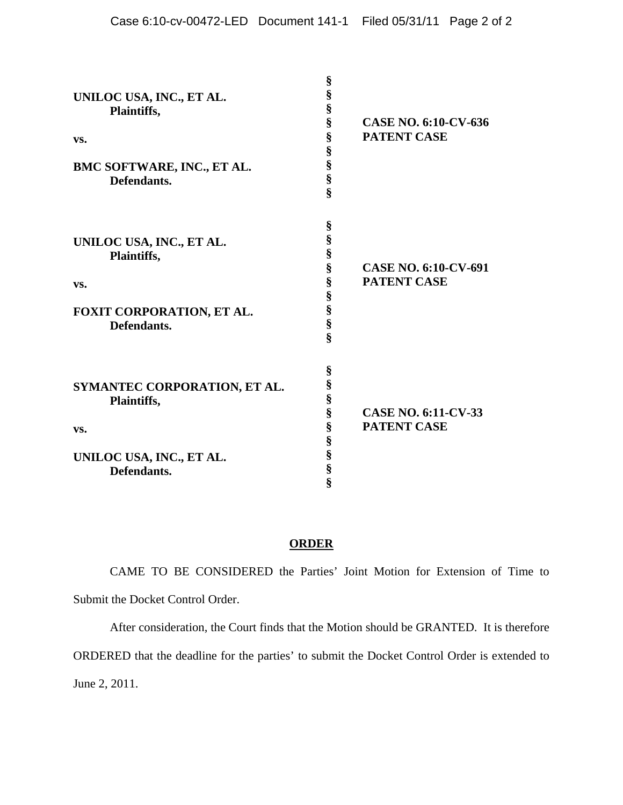| UNILOC USA, INC., ET AL.<br>Plaintiffs,<br>VS.<br>BMC SOFTWARE, INC., ET AL.<br>Defendants.   | §<br>§<br>§<br>§<br>§<br>§<br>§<br>§<br>§          | <b>CASE NO. 6:10-CV-636</b><br><b>PATENT CASE</b> |
|-----------------------------------------------------------------------------------------------|----------------------------------------------------|---------------------------------------------------|
| UNILOC USA, INC., ET AL.<br>Plaintiffs,<br>VS.<br>FOXIT CORPORATION, ET AL.<br>Defendants.    | §<br>§<br>§<br>§<br>§<br>§<br>§<br>§<br>Ş          | <b>CASE NO. 6:10-CV-691</b><br><b>PATENT CASE</b> |
| SYMANTEC CORPORATION, ET AL.<br>Plaintiffs,<br>VS.<br>UNILOC USA, INC., ET AL.<br>Defendants. | §<br>§<br>§<br>Ş<br>§<br>§<br>§<br>§<br>$\hat{\S}$ | <b>CASE NO. 6:11-CV-33</b><br><b>PATENT CASE</b>  |

## **ORDER**

 CAME TO BE CONSIDERED the Parties' Joint Motion for Extension of Time to Submit the Docket Control Order.

After consideration, the Court finds that the Motion should be GRANTED. It is therefore

ORDERED that the deadline for the parties' to submit the Docket Control Order is extended to

June 2, 2011.